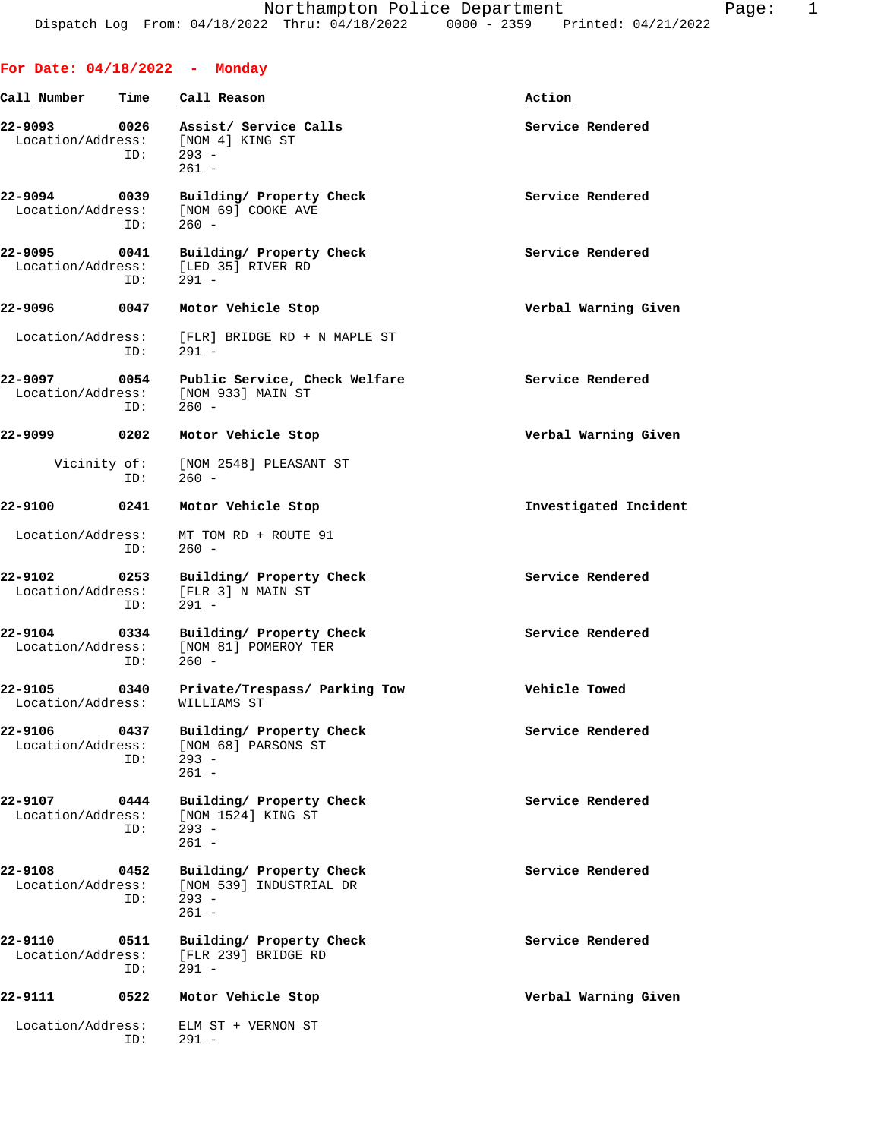| For Date: $04/18/2022 -$ Monday          |             |                                                                           |                       |
|------------------------------------------|-------------|---------------------------------------------------------------------------|-----------------------|
| Call Number                              | Time        | Call Reason                                                               | Action                |
| 22-9093<br>Location/Address:             | 0026<br>ID: | Assist/ Service Calls<br>[NOM 4] KING ST<br>$293 -$<br>$261 -$            | Service Rendered      |
| 22-9094<br>0039<br>Location/Address:     | ID:         | Building/ Property Check<br>[NOM 69] COOKE AVE<br>$260 -$                 | Service Rendered      |
| 22-9095<br>Location/Address:             | 0041<br>ID: | Building/ Property Check<br>[LED 35] RIVER RD<br>$291 -$                  | Service Rendered      |
| 22-9096                                  | 0047        | Motor Vehicle Stop                                                        | Verbal Warning Given  |
| Location/Address:                        | ID:         | [FLR] BRIDGE RD + N MAPLE ST<br>$291 -$                                   |                       |
| 22-9097<br>Location/Address:             | 0054<br>ID: | Public Service, Check Welfare<br>[NOM 933] MAIN ST<br>$260 -$             | Service Rendered      |
| 22-9099                                  | 0202        | Motor Vehicle Stop                                                        | Verbal Warning Given  |
| Vicinity of:                             | ID:         | [NOM 2548] PLEASANT ST<br>$260 -$                                         |                       |
| 22-9100                                  | 0241        | Motor Vehicle Stop                                                        | Investigated Incident |
| Location/Address:                        | ID:         | MT TOM RD + ROUTE 91<br>$260 -$                                           |                       |
| 22-9102<br>Location/Address:             | 0253<br>ID: | Building/ Property Check<br>[FLR 3] N MAIN ST<br>$291 -$                  | Service Rendered      |
| 22-9104<br>Location/Address:             | 0334<br>ID: | Building/ Property Check<br>[NOM 81] POMEROY TER<br>$260 -$               | Service Rendered      |
| 22-9105<br>Location/Address: WILLIAMS ST | 0340        | Private/Trespass/ Parking Tow                                             | Vehicle Towed         |
| 22-9106<br>Location/Address:             | 0437<br>ID: | Building/ Property Check<br>[NOM 68] PARSONS ST<br>$293 -$<br>$261 -$     | Service Rendered      |
| 22-9107<br>Location/Address:             | 0444<br>ID: | Building/ Property Check<br>[NOM 1524] KING ST<br>$293 -$<br>$261 -$      | Service Rendered      |
| 22-9108<br>Location/Address:             | 0452<br>ID: | Building/ Property Check<br>[NOM 539] INDUSTRIAL DR<br>$293 -$<br>$261 -$ | Service Rendered      |
| 22-9110<br>Location/Address:             | 0511<br>ID: | Building/ Property Check<br>[FLR 239] BRIDGE RD<br>$291 -$                | Service Rendered      |
| 22-9111                                  | 0522        | Motor Vehicle Stop                                                        | Verbal Warning Given  |
| Location/Address:                        | ID:         | ELM ST + VERNON ST<br>$291 -$                                             |                       |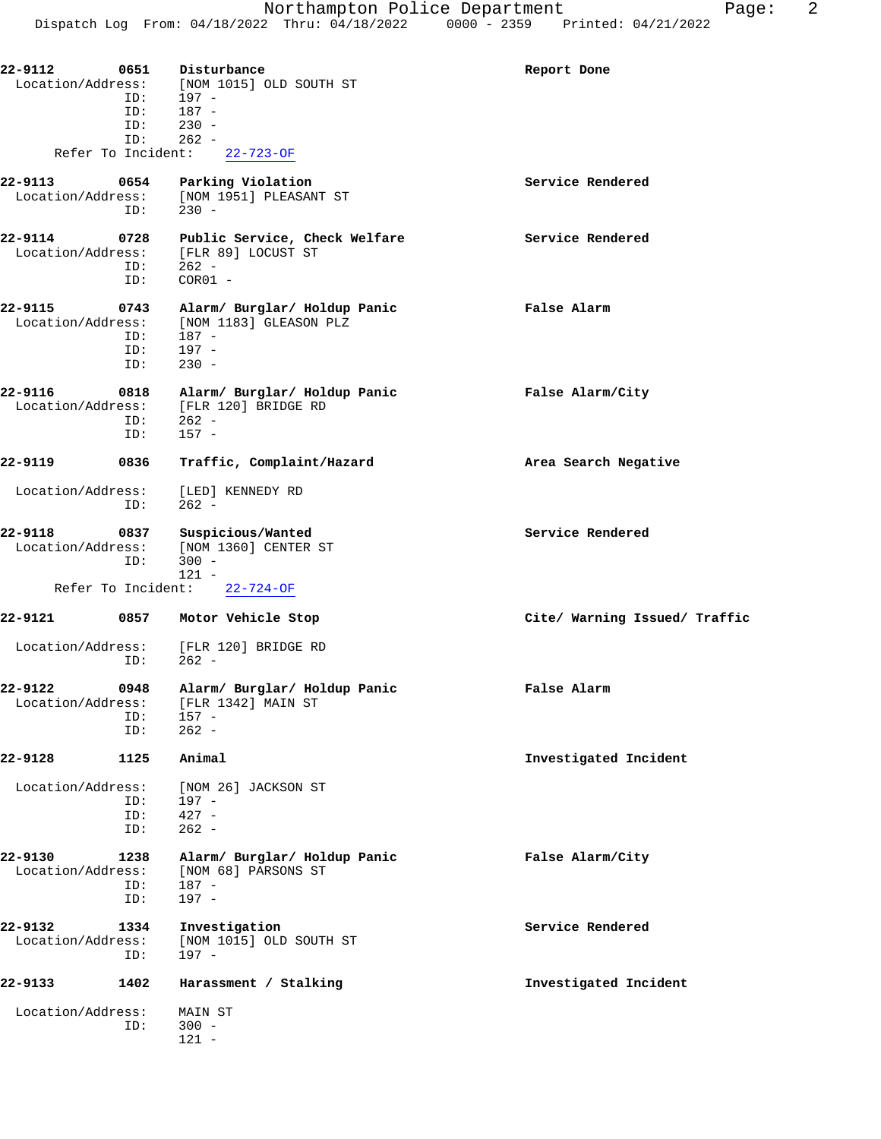| 22-9112<br>Location/Address: | 0651<br>Disturbance                   | [NOM 1015] OLD SOUTH ST                                | Report Done                   |
|------------------------------|---------------------------------------|--------------------------------------------------------|-------------------------------|
|                              | 197 -<br>ID:<br>187 -<br>ID:          |                                                        |                               |
|                              | $230 -$<br>ID:                        |                                                        |                               |
| Refer To Incident:           | ID:<br>$262 -$                        | $22 - 723 - OF$                                        |                               |
| 22-9113                      | 0654                                  | Parking Violation                                      | Service Rendered              |
| Location/Address:            | $230 -$<br>ID:                        | [NOM 1951] PLEASANT ST                                 |                               |
| 22-9114<br>Location/Address: | 0728                                  | Public Service, Check Welfare<br>FLR 891 LOCUST ST     | Service Rendered              |
|                              | $262 -$<br>ID:                        |                                                        |                               |
|                              | $COR01 -$<br>ID:                      |                                                        |                               |
| 22-9115<br>Location/Address: | 0743<br>187 -<br>ID:                  | Alarm/ Burglar/ Holdup Panic<br>[NOM 1183] GLEASON PLZ | False Alarm                   |
|                              | $197 -$<br>ID:                        |                                                        |                               |
|                              | $230 -$<br>ID:                        |                                                        |                               |
| 22-9116<br>Location/Address: | 0818                                  | Alarm/ Burglar/ Holdup Panic<br>[FLR 120] BRIDGE RD    | False Alarm/City              |
|                              | 262 -<br>ID:                          |                                                        |                               |
|                              | $157 -$<br>ID:                        |                                                        |                               |
| 22-9119                      | 0836                                  | Traffic, Complaint/Hazard                              | Area Search Negative          |
| Location/Address:            | [LED] KENNEDY RD<br>$262 -$<br>ID:    |                                                        |                               |
| 22-9118<br>Location/Address: | 0837<br>$300 -$<br>ID:                | Suspicious/Wanted<br>[NOM 1360] CENTER ST              | Service Rendered              |
| Refer To Incident:           | $121 -$                               | $22 - 724 - OF$                                        |                               |
| 22-9121                      | 0857<br>Motor Vehicle Stop            |                                                        | Cite/ Warning Issued/ Traffic |
| Location/Address:            | $262 -$<br>ID:                        | [FLR 120] BRIDGE RD                                    |                               |
| 22-9122<br>Location/Address: | 0948<br>$157 -$<br>ID:                | Alarm/ Burglar/ Holdup Panic<br>[FLR 1342] MAIN ST     | False Alarm                   |
|                              | $262 -$<br>ID:                        |                                                        |                               |
| 22-9128                      | 1125<br>Animal                        |                                                        | Investigated Incident         |
| Location/Address:            |                                       | [NOM 26] JACKSON ST                                    |                               |
|                              | 197 -<br>ID:<br>$427 -$<br>ID:        |                                                        |                               |
|                              | $262 -$<br>ID:                        |                                                        |                               |
| 22-9130                      | 1238                                  | Alarm/ Burglar/ Holdup Panic                           | False Alarm/City              |
| Location/Address:            | $187 -$<br>ID:                        | [NOM 68] PARSONS ST                                    |                               |
|                              | $197 -$<br>ID:                        |                                                        |                               |
| 22-9132<br>Location/Address: | 1334<br>Investigation<br>197 -<br>ID: | [NOM 1015] OLD SOUTH ST                                | Service Rendered              |
| 22-9133<br>1402              |                                       | Harassment / Stalking                                  | Investigated Incident         |
| Location/Address:            | MAIN ST<br>$300 -$<br>ID:<br>$121 -$  |                                                        |                               |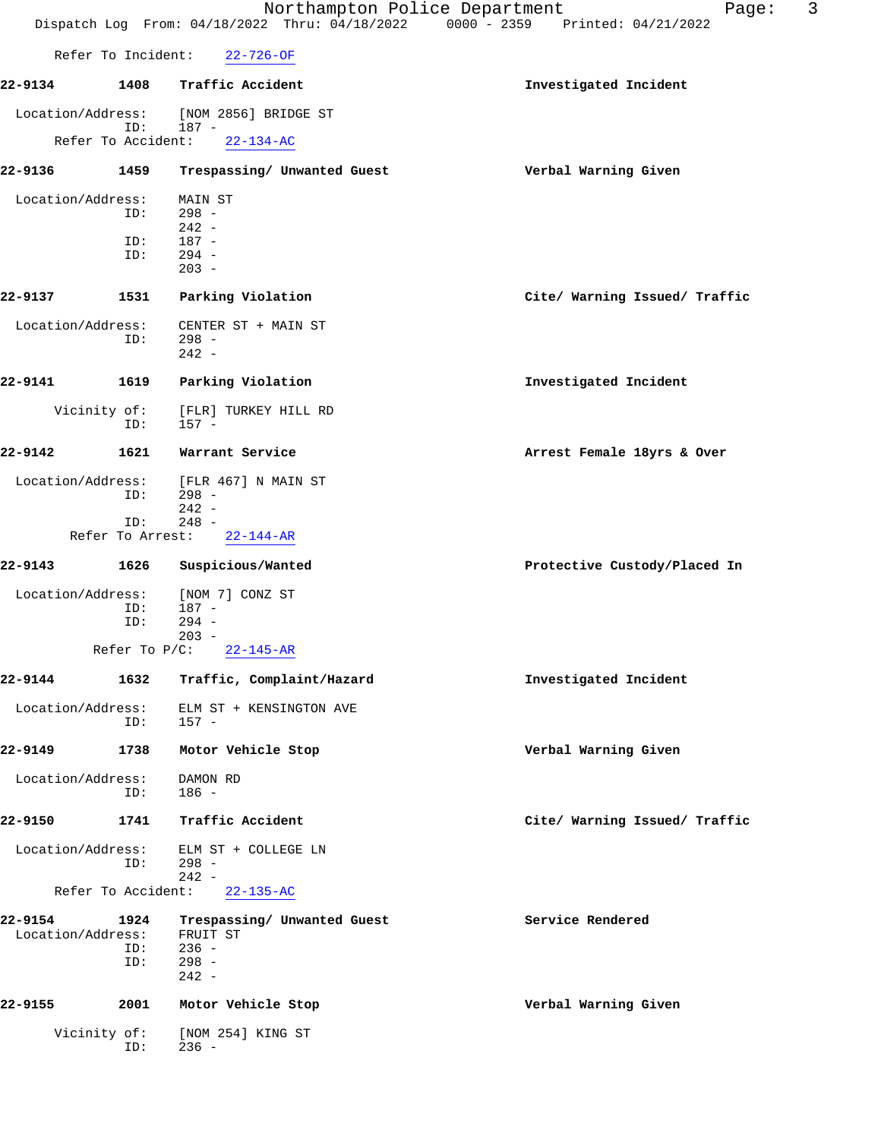|                              |                         | Northampton Police Department<br>$0000 - 2359$<br>Dispatch Log From: 04/18/2022 Thru: 04/18/2022 | 3<br>Page:<br>Printed: 04/21/2022 |
|------------------------------|-------------------------|--------------------------------------------------------------------------------------------------|-----------------------------------|
| Refer To Incident:           |                         | $22 - 726 - OF$                                                                                  |                                   |
| 22-9134                      | 1408                    | Traffic Accident                                                                                 | Investigated Incident             |
| Location/Address:            |                         | [NOM 2856] BRIDGE ST                                                                             |                                   |
| Refer To Accident:           | ID:                     | $187 -$<br>$22 - 134 - AC$                                                                       |                                   |
| 22-9136                      | 1459                    | Trespassing/ Unwanted Guest                                                                      | Verbal Warning Given              |
| Location/Address:            |                         | MAIN ST                                                                                          |                                   |
|                              | ID:                     | $298 -$<br>$242 -$                                                                               |                                   |
|                              | ID:                     | $187 -$                                                                                          |                                   |
|                              | ID:                     | $294 -$<br>$203 -$                                                                               |                                   |
| 22-9137                      | 1531                    | Parking Violation                                                                                | Cite/ Warning Issued/ Traffic     |
| Location/Address:            |                         | CENTER ST + MAIN ST                                                                              |                                   |
|                              | ID:                     | $298 -$<br>$242 -$                                                                               |                                   |
| 22-9141                      | 1619                    | Parking Violation                                                                                | Investigated Incident             |
| Vicinity of:                 | ID:                     | [FLR] TURKEY HILL RD<br>$157 -$                                                                  |                                   |
| 22-9142                      | 1621                    | Warrant Service                                                                                  | Arrest Female 18yrs & Over        |
| Location/Address:            |                         | [FLR 467] N MAIN ST                                                                              |                                   |
|                              | ID:                     | $298 -$<br>$242 -$                                                                               |                                   |
|                              | ID:<br>Refer To Arrest: | $248 -$<br>$22 - 144 - AR$                                                                       |                                   |
|                              |                         |                                                                                                  |                                   |
| 22-9143                      | 1626                    | Suspicious/Wanted                                                                                | Protective Custody/Placed In      |
| Location/Address:            | ID:                     | [NOM 7] CONZ ST<br>$187 -$                                                                       |                                   |
|                              | ID:                     | $294 -$<br>$203 -$                                                                               |                                   |
|                              | Refer To P/C:           | $22 - 145 - AR$                                                                                  |                                   |
| 22-9144                      | 1632                    | Traffic, Complaint/Hazard                                                                        | Investigated Incident             |
| Location/Address:            | ID:                     | ELM ST + KENSINGTON AVE<br>$157 -$                                                               |                                   |
| 22-9149                      | 1738                    | Motor Vehicle Stop                                                                               | Verbal Warning Given              |
| Location/Address:            | ID:                     | DAMON RD<br>$186 -$                                                                              |                                   |
|                              |                         |                                                                                                  |                                   |
| 22-9150                      | 1741                    | Traffic Accident                                                                                 | Cite/ Warning Issued/ Traffic     |
| Location/Address:            | ID:                     | ELM ST + COLLEGE LN<br>$298 -$<br>$242 -$                                                        |                                   |
| Refer To Accident:           |                         | $22 - 135 - AC$                                                                                  |                                   |
| 22-9154<br>Location/Address: | 1924                    | Trespassing/ Unwanted Guest<br>FRUIT ST                                                          | Service Rendered                  |
|                              | ID:                     | $236 -$                                                                                          |                                   |
|                              | ID:                     | $298 -$<br>$242 -$                                                                               |                                   |
| 22-9155                      | 2001                    | Motor Vehicle Stop                                                                               | Verbal Warning Given              |
| Vicinity of:                 |                         | [NOM 254] KING ST                                                                                |                                   |
|                              | ID:                     | $236 -$                                                                                          |                                   |